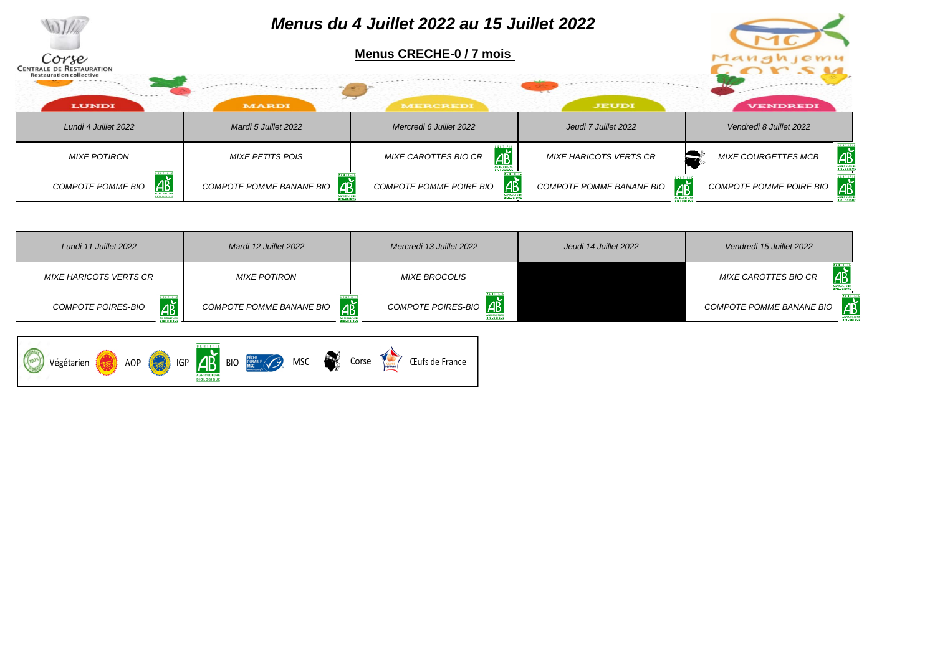|                                                                   | Menus du 4 Juillet 2022 au 15 Juillet 2022 |                                      |                               |                                      |
|-------------------------------------------------------------------|--------------------------------------------|--------------------------------------|-------------------------------|--------------------------------------|
| Corse                                                             |                                            | <b>Menus CRECHE-0/7 mois</b>         |                               | Manghjemu                            |
| <b>CENTRALE DE RESTAURATION</b><br><b>Restauration collective</b> |                                            |                                      |                               |                                      |
| <b>LUNDI</b>                                                      | <b>MARDI</b>                               | <b>MERCREDI</b>                      | <b>JEUDI</b>                  | <b>VENDREDI</b>                      |
| Lundi 4 Juillet 2022                                              | Mardi 5 Juillet 2022                       | Mercredi 6 Juillet 2022              | Jeudi 7 Juillet 2022          | Vendredi 8 Juillet 2022              |
| <b>MIXE POTIRON</b>                                               | MIXE PETITS POIS                           | <b>AB</b><br>MIXE CAROTTES BIO CR    | <b>MIXE HARICOTS VERTS CR</b> | AB<br><b>MIXE COURGETTES MCB</b>     |
| COMPOTE POMME BIO                                                 | <b>I</b> AB<br>COMPOTE POMME BANANE BIO    | АŘ<br><b>COMPOTE POMME POIRE BIO</b> | COMPOTE POMME BANANE BIO      | AB<br>COMPOTE POMME POIRE BIO<br>I⊿Ř |

| Lundi 11 Juillet 2022            | Mardi 12 Juillet 2022                  | Mercredi 13 Juillet 2022     | Jeudi 14 Juillet 2022 | Vendredi 15 Juillet 2022        |
|----------------------------------|----------------------------------------|------------------------------|-----------------------|---------------------------------|
| <b>MIXE HARICOTS VERTS CR</b>    | <b>MIXE POTIRON</b>                    | <b>MIXE BROCOLIS</b>         |                       | AB<br>MIXE CAROTTES BIO CR      |
| ∣⊿ř<br><i>COMPOTE POIRES-BIO</i> | COMPOTE POMME BANANE BIO<br><b>I⊿Ř</b> | COMPOTE POIRES-BIO <b>4B</b> |                       | ∕nŭ<br>COMPOTE POMME BANANE BIO |

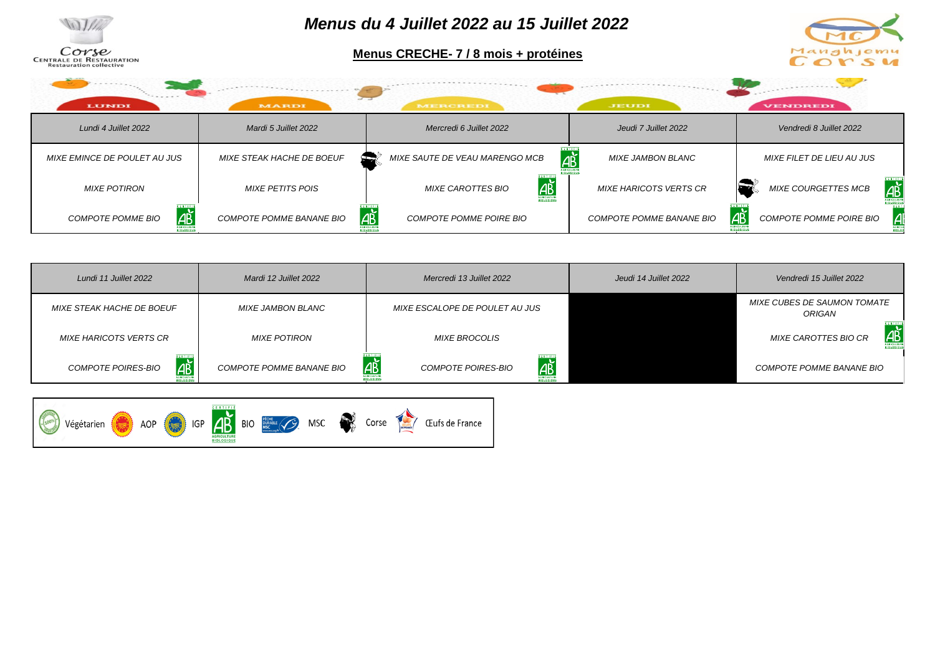|                                                                            |                                      | Menus du 4 Juillet 2022 au 15 Juillet 2022 |                                |                                                                      |
|----------------------------------------------------------------------------|--------------------------------------|--------------------------------------------|--------------------------------|----------------------------------------------------------------------|
| Corse<br><b>CENTRALE DE RESTAURATION</b><br><b>Restauration collective</b> | Menus CRECHE- 7 / 8 mois + protéines | Manghjemu<br>CONSU                         |                                |                                                                      |
| <b>LUNDI</b>                                                               | <b>MARDI</b>                         | <b>MERCREDI</b>                            | <b>JEUDI</b>                   | <b>VENDREDI</b>                                                      |
| Lundi 4 Juillet 2022                                                       | Mardi 5 Juillet 2022                 | Mercredi 6 Juillet 2022                    | Jeudi 7 Juillet 2022           | Vendredi 8 Juillet 2022                                              |
| MIXE EMINCE DE POULET AU JUS                                               | <b>MIXE STEAK HACHE DE BOEUF</b>     | MIXE SAUTE DE VEAU MARENGO MCB             | <b>MIXE JAMBON BLANC</b><br>⊿Ŕ | MIXE FILET DE LIEU AU JUS                                            |
| <b>MIXE POTIRON</b>                                                        | <b>MIXE PETITS POIS</b>              | <u>AŘ</u><br>MIXE CAROTTES BIO             | <b>MIXE HARICOTS VERTS CR</b>  | $\overrightarrow{AB}$<br><b>MIXE COURGETTES MCB</b><br><b>Direct</b> |
| COMPOTE POMME BIO                                                          | <b>COMPOTE POMME BANANE BIO</b>      | COMPOTE POMME POIRE BIO                    | COMPOTE POMME BANANE BIO       | ДĚ<br><u>Д</u><br><b>COMPOTE POMME POIRE BIO</b>                     |

| Lundi 11 Juillet 2022     | Mardi 12 Juillet 2022    | Mercredi 13 Juillet 2022                           | Jeudi 14 Juillet 2022 | Vendredi 15 Juillet 2022                             |
|---------------------------|--------------------------|----------------------------------------------------|-----------------------|------------------------------------------------------|
| MIXE STEAK HACHE DE BOEUF | MIXE JAMBON BLANC        | MIXE ESCALOPE DE POULET AU JUS                     |                       | MIXE CUBES DE SAUMON TOMATE<br>ORIGAN                |
| MIXE HARICOTS VERTS CR    | <b>MIXE POTIRON</b>      | <b>MIXE BROCOLIS</b>                               |                       | $\overrightarrow{AB}$<br><b>MIXE CAROTTES BIO CR</b> |
| АŘ<br>COMPOTE POIRES-BIO  | COMPOTE POMME BANANE BIO | $\overrightarrow{AB}$<br><i>COMPOTE POIRES-BIO</i> |                       | COMPOTE POMME BANANE BIO                             |

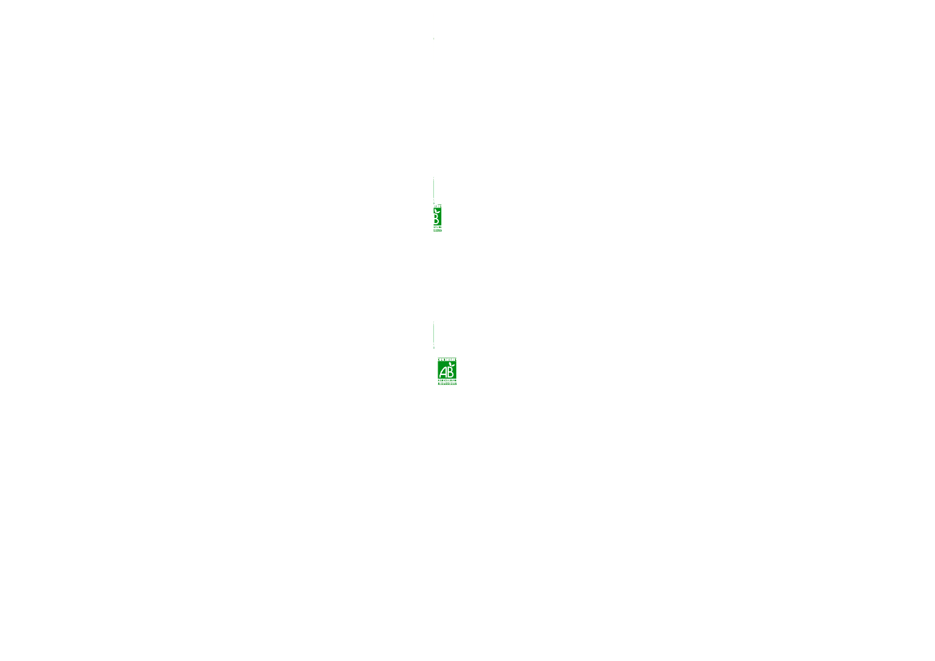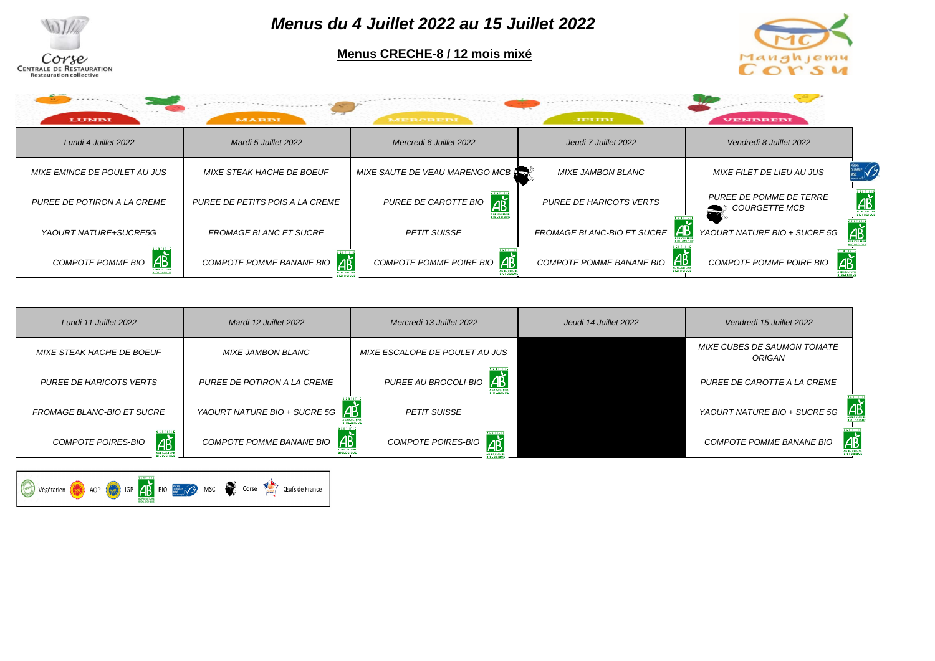

*Menus du 4 Juillet 2022 au 15 Juillet 2022*

**Menus CRECHE-8 / 12 mois mixé**



| LUNDI                        | <b>MARDI</b>                      | <b>MERCREDI</b>                    | <b>JEUDI</b>                                    | <b>VENDREDI</b>                                                                                 |
|------------------------------|-----------------------------------|------------------------------------|-------------------------------------------------|-------------------------------------------------------------------------------------------------|
| Lundi 4 Juillet 2022         | Mardi 5 Juillet 2022              | Mercredi 6 Juillet 2022            | Jeudi 7 Juillet 2022                            | Vendredi 8 Juillet 2022                                                                         |
| MIXE EMINCE DE POULET AU JUS | <b>MIXE STEAK HACHE DE BOEUF</b>  | MIXE SAUTE DE VEAU MARENGO MCB     | MIXE JAMBON BLANC                               | <b>DURABLE</b><br><b>MIXE FILET DE LIEU AU JUS</b>                                              |
| PUREE DE POTIRON A LA CREME  | PUREE DE PETITS POIS A LA CREME   | AB<br>PUREE DE CAROTTE BIO         | <b>PUREE DE HARICOTS VERTS</b>                  | <b>CERTIFI</b><br>$\overline{AB}$<br><b>PUREE DE POMME DE TERRE</b><br><b>● © COURGETTE MCB</b> |
| YAOURT NATURE+SUCRE5G        | FROMAGE BLANC ET SUCRE            | <b>PETIT SUISSE</b>                | <b>FROMAGE BLANC-BIO ET SUCRE</b><br><b>IHD</b> | YAOURT NATURE BIO + SUCRE 5G                                                                    |
| COMPOTE POMME BIO            | COMPOTE POMME BANANE BIO <b>4</b> | COMPOTE POMME POIRE BIO <b>4</b> B | 1.AD<br>COMPOTE POMME BANANE BIO                | Aß<br><b>COMPOTE POMME POIRE BIO</b>                                                            |

| Lundi 11 Juillet 2022             | Mardi 12 Juillet 2022            | Mercredi 13 Juillet 2022          | Jeudi 14 Juillet 2022 | Vendredi 15 Juillet 2022                     |
|-----------------------------------|----------------------------------|-----------------------------------|-----------------------|----------------------------------------------|
| MIXE STEAK HACHE DE BOEUF         | <b>MIXE JAMBON BLANC</b>         | MIXE ESCALOPE DE POULET AU JUS    |                       | <b>MIXE CUBES DE SAUMON TOMATE</b><br>ORIGAN |
| <b>PUREE DE HARICOTS VERTS</b>    | PUREE DE POTIRON A LA CREME      | PUREE AU BROCOLI-BIO <sup>2</sup> |                       | PUREE DE CAROTTE A LA CREME                  |
| <b>FROMAGE BLANC-BIO ET SUCRE</b> | YAOURT NATURE BIO + SUCRE 5G     | <b>PETIT SUISSE</b>               |                       | ÆВ<br>YAOURT NATURE BIO + SUCRE 5G           |
| АŘ<br><b>COMPOTE POIRES-BIO</b>   | I AB<br>COMPOTE POMME BANANE BIO | COMPOTE POIRES-BIO <b>4R</b>      |                       | 4B<br>COMPOTE POMME BANANE BIO               |

Végétarien a AOP (C) IGP AB BIO EM CO MSC Corse TE Cufs de France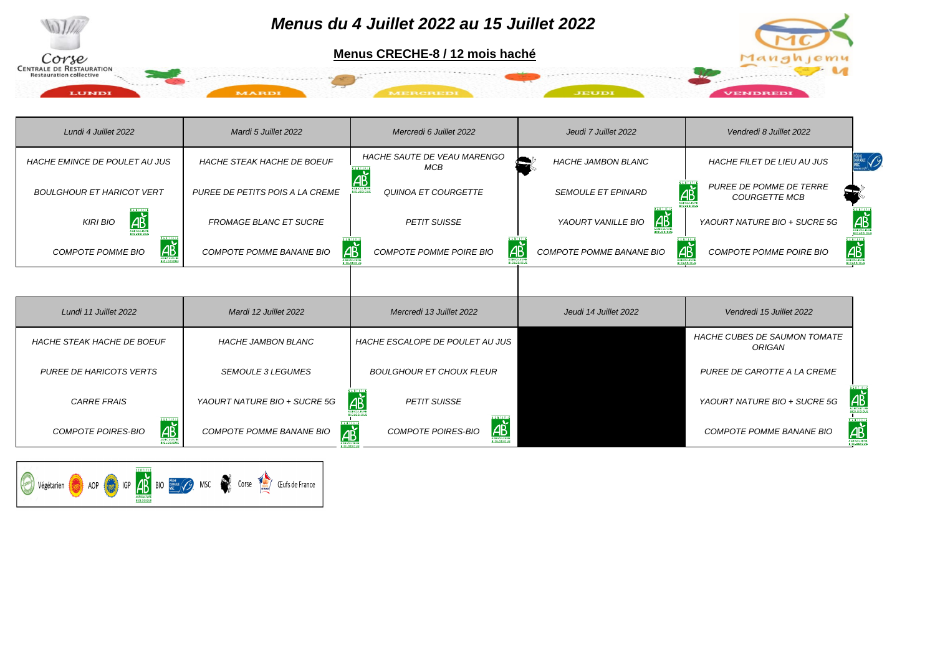

| Lundi 4 Juillet 2022             | Mardi 5 Juillet 2022            | Mercredi 6 Juillet 2022                     | Jeudi 7 Juillet 2022      | Vendredi 8 Juillet 2022                         |           |
|----------------------------------|---------------------------------|---------------------------------------------|---------------------------|-------------------------------------------------|-----------|
| HACHE EMINCE DE POULET AU JUS    | HACHE STEAK HACHE DE BOEUF      | HACHE SAUTE DE VEAU MARENGO<br>MCB          | <b>HACHE JAMBON BLANC</b> | <b>HACHE FILET DE LIEU AU JUS</b>               |           |
| <b>BOULGHOUR ET HARICOT VERT</b> | PUREE DE PETITS POIS A LA CREME | <i>QUINOA ET COURGETTE</i>                  | <b>SEMOULE ET EPINARD</b> | PUREE DE POMME DE TERRE<br><b>COURGETTE MCB</b> |           |
| <b>KIRI BIO</b>                  | <b>FROMAGE BLANC ET SUCRE</b>   | <b>PETIT SUISSE</b>                         | laš<br>YAOURT VANILLE BIO | YAOURT NATURE BIO + SUCRE 5G                    | <b>AB</b> |
| АĎ<br>COMPOTE POMME BIO          | COMPOTE POMME BANANE BIO        | AB<br> AB<br><b>COMPOTE POMME POIRE BIO</b> | COMPOTE POMME BANANE BIO  | АŘ<br><b>COMPOTE POMME POIRE BIO</b>            | АŘ        |

| Lundi 11 Juillet 2022             | Mardi 12 Juillet 2022        | Mercredi 13 Juillet 2022               | Jeudi 14 Juillet 2022 | Vendredi 15 Juillet 2022               |
|-----------------------------------|------------------------------|----------------------------------------|-----------------------|----------------------------------------|
| <b>HACHE STEAK HACHE DE BOEUF</b> | <b>HACHE JAMBON BLANC</b>    | HACHE ESCALOPE DE POULET AU JUS        |                       | HACHE CUBES DE SAUMON TOMATE<br>ORIGAN |
| PUREE DE HARICOTS VERTS           | SEMOULE 3 LEGUMES            | BOULGHOUR ET CHOUX FLEUR               |                       | PUREE DE CAROTTE A LA CREME            |
| <b>CARRE FRAIS</b>                | YAOURT NATURE BIO + SUCRE 5G | АŘ<br><b>PETIT SUISSE</b>              |                       | AŘ<br>YAOURT NATURE BIO + SUCRE 5G     |
| АĎ<br><b>COMPOTE POIRES-BIO</b>   | COMPOTE POMME BANANE BIO     | AB<br><b>COMPOTE POIRES-BIO</b><br>I⊿Ř |                       | AB<br>COMPOTE POMME BANANE BIO         |

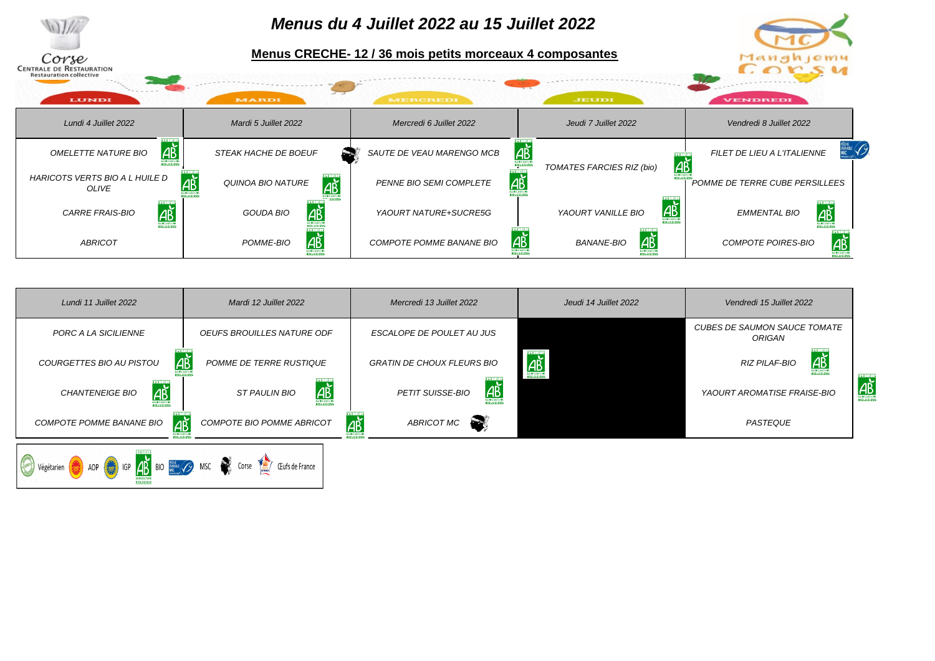

| Lundi 11 Juillet 2022                                                | Mardi 12 Juillet 2022                   | Mercredi 13 Juillet 2022             | Jeudi 14 Juillet 2022 | Vendredi 15 Juillet 2022                      |
|----------------------------------------------------------------------|-----------------------------------------|--------------------------------------|-----------------------|-----------------------------------------------|
| PORC A LA SICILIENNE                                                 | OEUFS BROUILLES NATURE ODF              | ESCALOPE DE POULET AU JUS            |                       | <b>CUBES DE SAUMON SAUCE TOMATE</b><br>ORIGAN |
| <u>AB</u><br><b>COURGETTES BIO AU PISTOU</b>                         | POMME DE TERRE RUSTIQUE                 | <b>GRATIN DE CHOUX FLEURS BIO</b>    | AB                    | $\overrightarrow{AB}$<br><b>RIZ PILAF-BIO</b> |
| $\overrightarrow{AB}$<br><b>CHANTENEIGE BIO</b><br><b>BIGLOCIOUS</b> | $\overline{AB}$<br><b>ST PAULIN BIO</b> | <b>AB</b><br><b>PETIT SUISSE-BIO</b> |                       | AB<br>YAOURT AROMATISE FRAISE-BIO             |
| COMPOTE POMME BANANE BIO<br>$\overline{A}$                           | COMPOTE BIO POMME ABRICOT               | AB<br>片の<br>ABRICOT MC               |                       | <b>PASTEQUE</b>                               |

Végétarien C AOP G IGP AB BIO EL COMSC Corse C Cufs de France